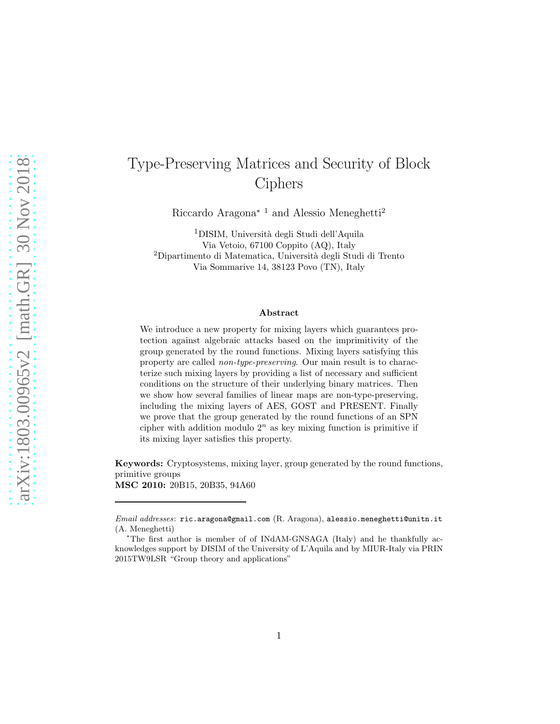# Type-Preserving Matrices and Security of Block Ciphers

Riccardo Aragona<sup>∗</sup> <sup>1</sup> and Alessio Meneghetti<sup>2</sup>

<sup>1</sup>DISIM, Università degli Studi dell'Aquila Via Vetoio, 67100 Coppito (AQ), Italy <sup>2</sup>Dipartimento di Matematica, Università degli Studi di Trento Via Sommarive 14, 38123 Povo (TN), Italy

#### Abstract

We introduce a new property for mixing layers which guarantees protection against algebraic attacks based on the imprimitivity of the group generated by the round functions. Mixing layers satisfying this property are called *non-type-preserving*. Our main result is to characterize such mixing layers by providing a list of necessary and sufficient conditions on the structure of their underlying binary matrices. Then we show how several families of linear maps are non-type-preserving, including the mixing layers of AES, GOST and PRESENT. Finally we prove that the group generated by the round functions of an SPN cipher with addition modulo  $2^n$  as key mixing function is primitive if its mixing layer satisfies this property.

Keywords: Cryptosystems, mixing layer, group generated by the round functions, primitive groups MSC 2010: 20B15, 20B35, 94A60

Email addresses: ric.aragona@gmail.com (R. Aragona), alessio.meneghetti@unitn.it (A. Meneghetti)

<sup>∗</sup>The first author is member of of INdAM-GNSAGA (Italy) and he thankfully acknowledges support by DISIM of the University of L'Aquila and by MIUR-Italy via PRIN 2015TW9LSR "Group theory and applications"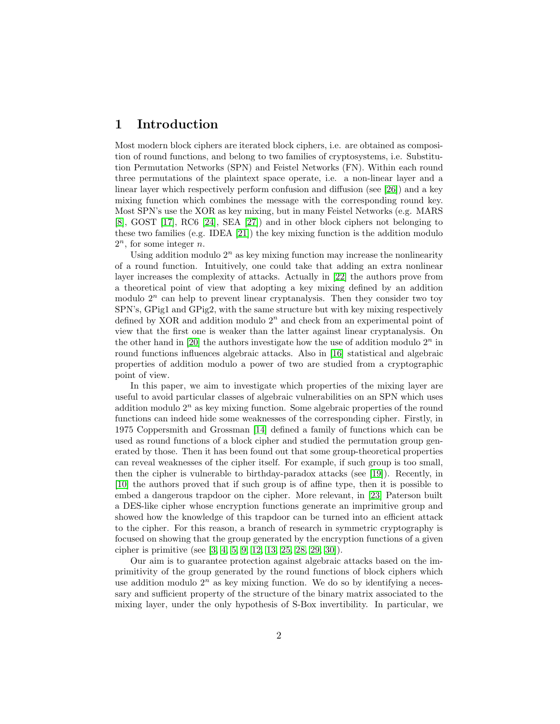# 1 Introduction

Most modern block ciphers are iterated block ciphers, i.e. are obtained as composition of round functions, and belong to two families of cryptosystems, i.e. Substitution Permutation Networks (SPN) and Feistel Networks (FN). Within each round three permutations of the plaintext space operate, i.e. a non-linear layer and a linear layer which respectively perform confusion and diffusion (see [\[26\]](#page-20-0)) and a key mixing function which combines the message with the corresponding round key. Most SPN's use the XOR as key mixing, but in many Feistel Networks (e.g. MARS [\[8\]](#page-19-0), GOST [\[17\]](#page-19-1), RC6 [\[24\]](#page-20-1), SEA [\[27\]](#page-20-2)) and in other block ciphers not belonging to these two families (e.g. IDEA [\[21\]](#page-20-3)) the key mixing function is the addition modulo  $2^n$ , for some integer *n*.

Using addition modulo  $2^n$  as key mixing function may increase the nonlinearity of a round function. Intuitively, one could take that adding an extra nonlinear layer increases the complexity of attacks. Actually in [\[22\]](#page-20-4) the authors prove from a theoretical point of view that adopting a key mixing defined by an addition modulo  $2^n$  can help to prevent linear cryptanalysis. Then they consider two toy SPN's, GPig1 and GPig2, with the same structure but with key mixing respectively defined by XOR and addition modulo  $2^n$  and check from an experimental point of view that the first one is weaker than the latter against linear cryptanalysis. On the other hand in [\[20\]](#page-19-2) the authors investigate how the use of addition modulo  $2<sup>n</sup>$  in round functions influences algebraic attacks. Also in [\[16\]](#page-19-3) statistical and algebraic properties of addition modulo a power of two are studied from a cryptographic point of view.

In this paper, we aim to investigate which properties of the mixing layer are useful to avoid particular classes of algebraic vulnerabilities on an SPN which uses addition modulo  $2^n$  as key mixing function. Some algebraic properties of the round functions can indeed hide some weaknesses of the corresponding cipher. Firstly, in 1975 Coppersmith and Grossman [\[14\]](#page-19-4) defined a family of functions which can be used as round functions of a block cipher and studied the permutation group generated by those. Then it has been found out that some group-theoretical properties can reveal weaknesses of the cipher itself. For example, if such group is too small, then the cipher is vulnerable to birthday-paradox attacks (see [\[19\]](#page-19-5)). Recently, in [\[10\]](#page-19-6) the authors proved that if such group is of affine type, then it is possible to embed a dangerous trapdoor on the cipher. More relevant, in [\[23\]](#page-20-5) Paterson built a DES-like cipher whose encryption functions generate an imprimitive group and showed how the knowledge of this trapdoor can be turned into an efficient attack to the cipher. For this reason, a branch of research in symmetric cryptography is focused on showing that the group generated by the encryption functions of a given cipher is primitive (see [\[3,](#page-18-0) [4,](#page-18-1) [5,](#page-18-2) [9,](#page-19-7) [12,](#page-19-8) [13,](#page-19-9) [25,](#page-20-6) [28,](#page-20-7) [29,](#page-20-8) [30\]](#page-20-9)).

Our aim is to guarantee protection against algebraic attacks based on the imprimitivity of the group generated by the round functions of block ciphers which use addition modulo  $2^n$  as key mixing function. We do so by identifying a necessary and sufficient property of the structure of the binary matrix associated to the mixing layer, under the only hypothesis of S-Box invertibility. In particular, we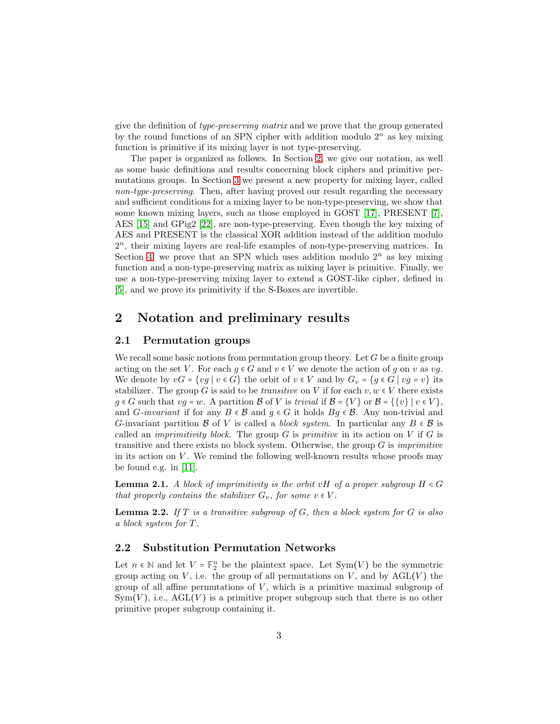give the definition of *type-preserving matrix* and we prove that the group generated by the round functions of an SPN cipher with addition modulo  $2^n$  as key mixing function is primitive if its mixing layer is not type-preserving.

The paper is organized as follows. In Section [2,](#page-2-0) we give our notation, as well as some basic definitions and results concerning block ciphers and primitive permutations groups. In Section [3](#page-7-0) we present a new property for mixing layer, called *non-type-preserving*. Then, after having proved our result regarding the necessary and sufficient conditions for a mixing layer to be non-type-preserving, we show that some known mixing layers, such as those employed in GOST [\[17\]](#page-19-1), PRESENT [\[7\]](#page-19-10), AES [\[15\]](#page-19-11) and GPig2 [\[22\]](#page-20-4), are non-type-preserving. Even though the key mixing of AES and PRESENT is the classical XOR addition instead of the addition modulo 2 n , their mixing layers are real-life examples of non-type-preserving matrices. In Section [4,](#page-15-0) we prove that an SPN which uses addition modulo  $2^n$  as key mixing function and a non-type-preserving matrix as mixing layer is primitive. Finally, we use a non-type-preserving mixing layer to extend a GOST-like cipher, defined in [\[5\]](#page-18-2), and we prove its primitivity if the S-Boxes are invertible.

## <span id="page-2-0"></span>2 Notation and preliminary results

#### 2.1 Permutation groups

We recall some basic notions from permutation group theory. Let  $G$  be a finite group acting on the set V. For each  $q \in G$  and  $v \in V$  we denote the action of q on v as vq. We denote by  $vG = \{vg \mid v \in G\}$  the orbit of  $v \in V$  and by  $G_v = \{g \in G \mid vg = v\}$  its stabilizer. The group G is said to be *transitive* on V if for each  $v, w \in V$  there exists  $g \in G$  such that  $vg = w$ . A partition  $\mathcal B$  of  $V$  is *trivial* if  $\mathcal B = \{V\}$  or  $\mathcal B = \{\{v\} \mid v \in V\},\$ and *G-invariant* if for any  $B \in \mathcal{B}$  and  $g \in G$  it holds  $Bg \in \mathcal{B}$ . Any non-trivial and G-invariant partition B of V is called a *block system*. In particular any  $B \in \mathcal{B}$  is called an *imprimitivity block*. The group G is *primitive* in its action on V if G is transitive and there exists no block system. Otherwise, the group G is *imprimitive* in its action on  $V$ . We remind the following well-known results whose proofs may be found e.g. in [\[11\]](#page-19-12).

Lemma 2.1. *A block of imprimitivity is the orbit* vH *of a proper subgroup* H < G *that properly contains the stabilizer*  $G_v$ *, for some*  $v \in V$ *.* 

Lemma 2.2. *If* T *is a transitive subgroup of* G*, then a block system for* G *is also a block system for* T *.*

#### 2.2 Substitution Permutation Networks

Let  $n \in \mathbb{N}$  and let  $V = \mathbb{F}_2^n$  be the plaintext space. Let  $Sym(V)$  be the symmetric group acting on V, i.e. the group of all permutations on V, and by  $AGL(V)$  the group of all affine permutations of  $V$ , which is a primitive maximal subgroup of  $Sym(V)$ , i.e.,  $AGL(V)$  is a primitive proper subgroup such that there is no other primitive proper subgroup containing it.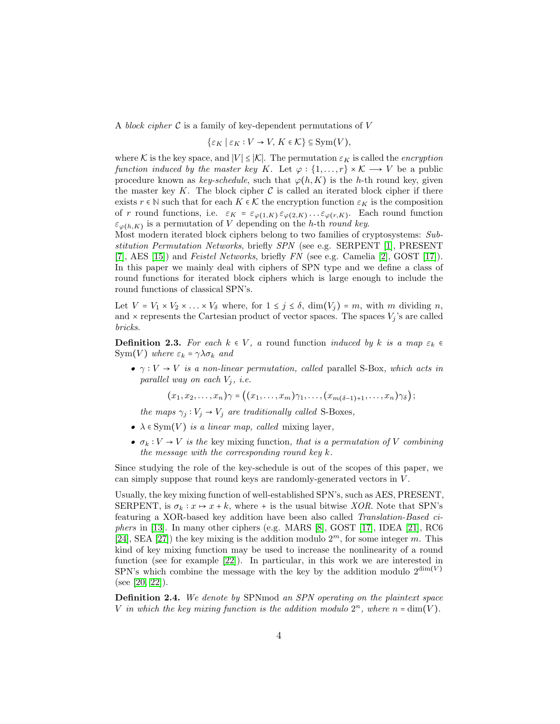A *block cipher* C is a family of key-dependent permutations of V

$$
\{\varepsilon_K \mid \varepsilon_K: V \to V, K \in \mathcal{K}\} \subseteq \mathrm{Sym}(V),
$$

where K is the key space, and  $|V| \leq |\mathcal{K}|$ . The permutation  $\varepsilon_K$  is called the *encryption function induced by the master key* K. Let  $\varphi : \{1, ..., r\} \times K \longrightarrow V$  be a public procedure known as *key-schedule*, such that  $\varphi(h, K)$  is the h-th round key, given the master key K. The block cipher  $\mathcal C$  is called an iterated block cipher if there exists  $r \in \mathbb{N}$  such that for each  $K \in \mathcal{K}$  the encryption function  $\varepsilon_K$  is the composition of r round functions, i.e.  $\varepsilon_K = \varepsilon_{\varphi(1,K)} \varepsilon_{\varphi(2,K)} \dots \varepsilon_{\varphi(r,K)}$ . Each round function  $\varepsilon_{\varphi(h,K)}$  is a permutation of V depending on the h-th *round key*.

Most modern iterated block ciphers belong to two families of cryptosystems: *Substitution Permutation Networks*, briefly *SPN* (see e.g. SERPENT [\[1\]](#page-18-3), PRESENT [\[7\]](#page-19-10), AES [\[15\]](#page-19-11)) and *Feistel Networks*, briefly *FN* (see e.g. Camelia [\[2\]](#page-18-4), GOST [\[17\]](#page-19-1)). In this paper we mainly deal with ciphers of SPN type and we define a class of round functions for iterated block ciphers which is large enough to include the round functions of classical SPN's.

Let  $V = V_1 \times V_2 \times \ldots \times V_\delta$  where, for  $1 \leq j \leq \delta$ ,  $\dim(V_j) = m$ , with m dividing n, and  $\times$  represents the Cartesian product of vector spaces. The spaces  $V_j$ 's are called *bricks*.

**Definition 2.3.** *For each*  $k \in V$ , *a* round function *induced by* k *is a map*  $\varepsilon_k \in$ Sym(V) where  $\varepsilon_k = \gamma \lambda \sigma_k$  and

• γ ∶ V → V *is a non-linear permutation, called* parallel S-Box*, which acts in parallel way on each*  $V_i$ *, i.e.* 

 $(x_1, x_2, \ldots, x_n)\gamma = ((x_1, \ldots, x_m)\gamma_1, \ldots, (x_{m(\delta-1)+1}, \ldots, x_n)\gamma_\delta);$ 

*the maps*  $\gamma_i : V_i \to V_i$  *are traditionally called* S-Boxes,

- $\lambda \in \text{Sym}(V)$  *is a linear map, called* mixing layer,
- $\sigma_k : V \to V$  *is the key mixing function, that is a permutation of* V *combining the message with the corresponding round key* k*.*

Since studying the role of the key-schedule is out of the scopes of this paper, we can simply suppose that round keys are randomly-generated vectors in V .

Usually, the key mixing function of well-established SPN's, such as AES, PRESENT, SERPENT, is  $\sigma_k : x \mapsto x + k$ , where + is the usual bitwise *XOR*. Note that SPN's featuring a XOR-based key addition have been also called *Translation-Based ciphers* in [\[13\]](#page-19-9). In many other ciphers (e.g. MARS [\[8\]](#page-19-0), GOST [\[17\]](#page-19-1), IDEA [\[21\]](#page-20-3), RC6 [\[24\]](#page-20-1), SEA [\[27\]](#page-20-2)) the key mixing is the addition modulo  $2<sup>m</sup>$ , for some integer m. This kind of key mixing function may be used to increase the nonlinearity of a round function (see for example [\[22\]](#page-20-4)). In particular, in this work we are interested in SPN's which combine the message with the key by the addition modulo  $2^{\dim(V)}$ (see [\[20,](#page-19-2) [22\]](#page-20-4)).

Definition 2.4. *We denote by* SPNmod *an SPN operating on the plaintext space* V in which the key mixing function is the addition modulo  $2^n$ , where  $n = \dim(V)$ .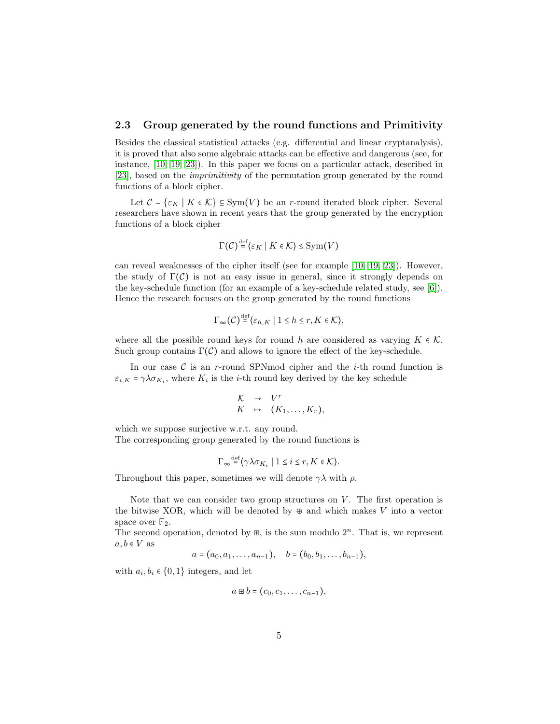#### 2.3 Group generated by the round functions and Primitivity

Besides the classical statistical attacks (e.g. differential and linear cryptanalysis), it is proved that also some algebraic attacks can be effective and dangerous (see, for instance, [\[10,](#page-19-6) [19,](#page-19-5) [23\]](#page-20-5)). In this paper we focus on a particular attack, described in [\[23\]](#page-20-5), based on the *imprimitivity* of the permutation group generated by the round functions of a block cipher.

Let  $C = \{ \varepsilon_K \mid K \in \mathcal{K} \} \subseteq \text{Sym}(V)$  be an r-round iterated block cipher. Several researchers have shown in recent years that the group generated by the encryption functions of a block cipher

$$
\Gamma(\mathcal{C})^{\text{def}} \{ \varepsilon_K \mid K \in \mathcal{K} \} \le \text{Sym}(V)
$$

can reveal weaknesses of the cipher itself (see for example [\[10,](#page-19-6) [19,](#page-19-5) [23\]](#page-20-5)). However, the study of  $\Gamma(\mathcal{C})$  is not an easy issue in general, since it strongly depends on the key-schedule function (for an example of a key-schedule related study, see [\[6\]](#page-19-13)). Hence the research focuses on the group generated by the round functions

$$
\Gamma_\infty(\mathcal{C}) {\, \stackrel{\mathrm{def}}{=}\, } \{ \varepsilon_{h,K} \mid 1 \leq h \leq r, K \in \mathcal{K} \},
$$

where all the possible round keys for round h are considered as varying  $K \in \mathcal{K}$ . Such group contains  $\Gamma(\mathcal{C})$  and allows to ignore the effect of the key-schedule.

In our case  $\mathcal C$  is an r-round SPNmod cipher and the *i*-th round function is  $\varepsilon_{i,K} = \gamma \lambda \sigma_{K_i}$ , where  $K_i$  is the *i*-th round key derived by the key schedule

$$
\begin{array}{rcl}\n\mathcal{K} & \rightarrow & V^r \\
K & \mapsto & (K_1, \ldots, K_r),\n\end{array}
$$

which we suppose surjective w.r.t. any round.

The corresponding group generated by the round functions is

$$
\Gamma_{\infty} \stackrel{\text{def}}{=} \langle \gamma \lambda \sigma_{K_i} \mid 1 \leq i \leq r, K \in \mathcal{K} \rangle.
$$

Throughout this paper, sometimes we will denote  $\gamma \lambda$  with  $\rho$ .

Note that we can consider two group structures on  $V$ . The first operation is the bitwise XOR, which will be denoted by  $\oplus$  and which makes V into a vector space over  $\mathbb{F}_2$ .

The second operation, denoted by  $\mathbb{B}$ , is the sum modulo  $2^n$ . That is, we represent  $a, b \in V$  as

$$
a = (a_0, a_1, \ldots, a_{n-1}), \quad b = (b_0, b_1, \ldots, b_{n-1}),
$$

with  $a_i, b_i \in \{0, 1\}$  integers, and let

$$
a\boxplus b=(c_0,c_1,\ldots,c_{n-1}),
$$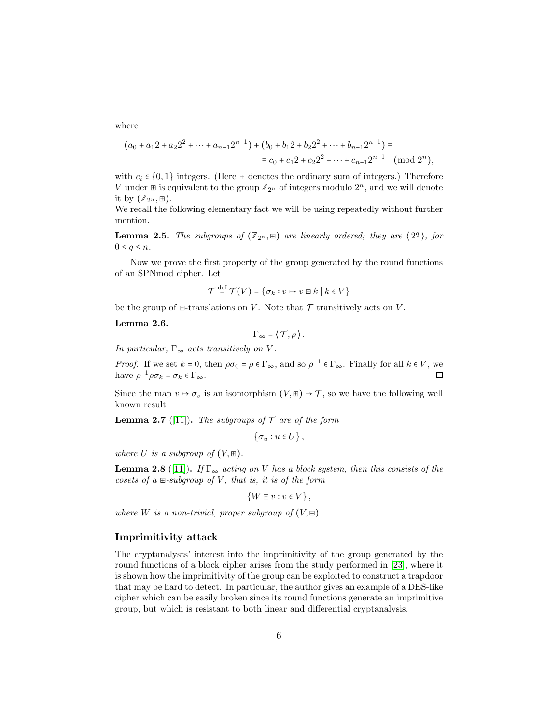where

$$
(a_0 + a_1 2 + a_2 2^2 + \dots + a_{n-1} 2^{n-1}) + (b_0 + b_1 2 + b_2 2^2 + \dots + b_{n-1} 2^{n-1}) \equiv
$$
  

$$
\equiv c_0 + c_1 2 + c_2 2^2 + \dots + c_{n-1} 2^{n-1} \pmod{2^n},
$$

with  $c_i \in \{0,1\}$  integers. (Here + denotes the ordinary sum of integers.) Therefore V under  $\mathbb{E}$  is equivalent to the group  $\mathbb{Z}_{2^n}$  of integers modulo  $2^n$ , and we will denote it by  $(\mathbb{Z}_{2^n}, \mathbb{H})$ .

We recall the following elementary fact we will be using repeatedly without further mention.

<span id="page-5-0"></span>**Lemma 2.5.** *The subgroups of*  $(\mathbb{Z}_{2^n}, \mathbb{E})$  *are linearly ordered; they are*  $\langle 2^q \rangle$ *, for*  $0 \leq q \leq n$ .

Now we prove the first property of the group generated by the round functions of an SPNmod cipher. Let

$$
\mathcal{T} \stackrel{\mathrm{def}}{=} \mathcal{T}(V) = \{ \sigma_k : v \mapsto v \boxplus k \mid k \in V \}
$$

be the group of  $\Xi$ -translations on V. Note that  $\mathcal T$  transitively acts on V.

<span id="page-5-1"></span>Lemma 2.6.

$$
\Gamma_{\infty} = \langle \mathcal{T}, \rho \rangle.
$$

*In particular,*  $\Gamma_{\infty}$  *acts transitively on V*.

*Proof.* If we set  $k = 0$ , then  $\rho \sigma_0 = \rho \in \Gamma_\infty$ , and so  $\rho^{-1} \in \Gamma_\infty$ . Finally for all  $k \in V$ , we have  $\rho^{-1} \rho \sigma_k = \sigma_k \in \Gamma_\infty$ . □

Since the map  $v \mapsto \sigma_v$  is an isomorphism  $(V,\mathbb{H}) \to \mathcal{T}$ , so we have the following well known result

**Lemma 2.7** ([\[11\]](#page-19-12)). *The subgroups of*  $\mathcal T$  *are of the form* 

 $\{\sigma_u : u \in U\},\$ 

*where* U *is a subgroup of*  $(V, \mathbb{H})$ *.* 

<span id="page-5-2"></span>**Lemma 2.8** ([\[11\]](#page-19-12)). *If*  $\Gamma_{\infty}$  *acting on V has a block system, then this consists of the cosets of a* ⊞*-subgroup of* V *, that is, it is of the form*

$$
\{W \boxplus v : v \in V\},\
$$

*where W is a non-trivial, proper subgroup of*  $(V, \mathbb{E})$ *.* 

#### Imprimitivity attack

The cryptanalysts' interest into the imprimitivity of the group generated by the round functions of a block cipher arises from the study performed in [\[23\]](#page-20-5), where it is shown how the imprimitivity of the group can be exploited to construct a trapdoor that may be hard to detect. In particular, the author gives an example of a DES-like cipher which can be easily broken since its round functions generate an imprimitive group, but which is resistant to both linear and differential cryptanalysis.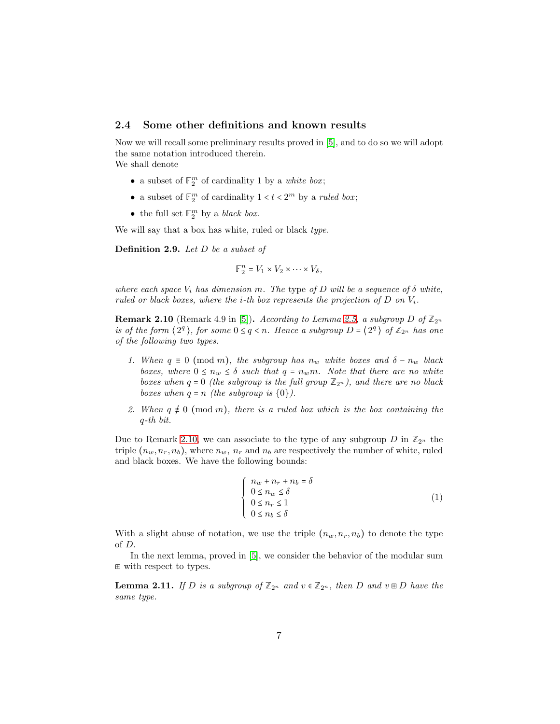#### 2.4 Some other definitions and known results

Now we will recall some preliminary results proved in [\[5\]](#page-18-2), and to do so we will adopt the same notation introduced therein. We shall denote

- a subset of  $\mathbb{F}_2^m$  of cardinality 1 by a *white box*;
- a subset of  $\mathbb{F}_2^m$  of cardinality  $1 < t < 2^m$  by a *ruled box*;
- the full set  $\mathbb{F}_2^m$  by a *black box*.

We will say that a box has white, ruled or black *type*.

Definition 2.9. *Let* D *be a subset of*

 $\mathbb{F}_2^n = V_1 \times V_2 \times \cdots \times V_\delta,$ 

*where each space*  $V_i$  *has dimension* m. The type of D will be a sequence of  $\delta$  *white, ruled or black boxes, where the i-th box represents the projection of*  $D$  *on*  $V_i$ *.* 

<span id="page-6-0"></span>**Remark 2.10** (Remark 4.9 in [\[5\]](#page-18-2)). *According to Lemma [2.5,](#page-5-0) a subgroup*  $D$  *of*  $\mathbb{Z}_{2^n}$ *is of the form*  $\langle 2^q \rangle$ , *for some*  $0 \leq q < n$ . Hence a subgroup  $D = \langle 2^q \rangle$  of  $\mathbb{Z}_{2^n}$  has one *of the following two types.*

- *1. When*  $q \equiv 0 \pmod{m}$ *, the subgroup has*  $n_w$  *white boxes and*  $\delta n_w$  *black boxes, where*  $0 \leq n_w \leq \delta$  *such that*  $q = n_w m$ *. Note that there are no white boxes when*  $q = 0$  *(the subgroup is the full group*  $\mathbb{Z}_{2^n}$ *), and there are no black boxes when*  $q = n$  *(the subgroup is*  $\{0\}$ *).*
- 2. When  $q \neq 0 \pmod{m}$ , there is a ruled box which is the box containing the q*-th bit.*

Due to Remark [2.10,](#page-6-0) we can associate to the type of any subgroup  $D$  in  $\mathbb{Z}_{2^n}$  the triple  $(n_w, n_r, n_b)$ , where  $n_w, n_r$  and  $n_b$  are respectively the number of white, ruled and black boxes. We have the following bounds:

<span id="page-6-1"></span>
$$
\begin{cases}\n n_w + n_r + n_b = \delta \\
0 \le n_w \le \delta \\
0 \le n_r \le 1 \\
0 \le n_b \le \delta\n\end{cases}
$$
\n(1)

With a slight abuse of notation, we use the triple  $(n_w, n_r, n_b)$  to denote the type of D.

In the next lemma, proved in [\[5\]](#page-18-2), we consider the behavior of the modular sum ⊞ with respect to types.

<span id="page-6-2"></span>**Lemma 2.11.** *If* D *is a subgroup of*  $\mathbb{Z}_{2^n}$  *and*  $v \in \mathbb{Z}_{2^n}$ *, then* D *and*  $v \boxplus D$  *have the same type.*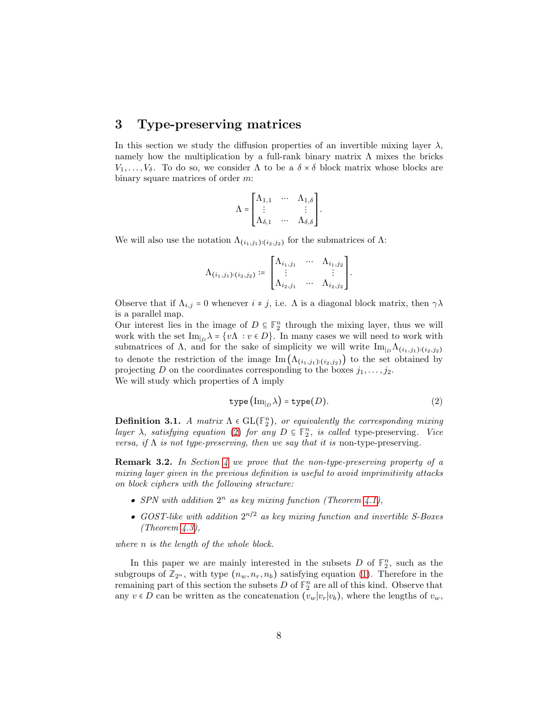### <span id="page-7-0"></span>3 Type-preserving matrices

In this section we study the diffusion properties of an invertible mixing layer  $\lambda$ , namely how the multiplication by a full-rank binary matrix  $\Lambda$  mixes the bricks  $V_1, \ldots, V_\delta$ . To do so, we consider  $\Lambda$  to be a  $\delta \times \delta$  block matrix whose blocks are binary square matrices of order m:

$$
\Lambda = \begin{bmatrix} \Lambda_{1,1} & \cdots & \Lambda_{1,\delta} \\ \vdots & & \vdots \\ \Lambda_{\delta,1} & \cdots & \Lambda_{\delta,\delta} \end{bmatrix}.
$$

We will also use the notation  $\Lambda_{(i_1,j_1):(i_2,j_2)}$  for the submatrices of  $\Lambda$ :

$$
\Lambda_{(i_1,j_1):(i_2,j_2)} \coloneqq \begin{bmatrix} \Lambda_{i_1,j_1} & \cdots & \Lambda_{i_1,j_2} \\ \vdots & & \vdots \\ \Lambda_{i_2,j_1} & \cdots & \Lambda_{i_2,j_2} \end{bmatrix}.
$$

Observe that if  $\Lambda_{i,j} = 0$  whenever  $i \neq j$ , i.e.  $\Lambda$  is a diagonal block matrix, then  $\gamma \lambda$ is a parallel map.

Our interest lies in the image of  $D \subseteq \mathbb{F}_2^n$  through the mixing layer, thus we will work with the set  $\text{Im}_{D} \lambda = \{v \Lambda : v \in D\}$ . In many cases we will need to work with submatrices of Λ, and for the sake of simplicity we will write  $\text{Im}_{|D} \Lambda_{(i_1,j_1):(i_2,j_2)}$ to denote the restriction of the image  $\text{Im}(\Lambda_{(i_1,j_1):(i_2,j_2)})$  to the set obtained by projecting D on the coordinates corresponding to the boxes  $j_1, \ldots, j_2$ . We will study which properties of  $\Lambda$  imply

<span id="page-7-1"></span>
$$
type\left(\text{Im}_{|D}\lambda\right) = type(D). \tag{2}
$$

**Definition 3.1.** *A matrix*  $\Lambda \in GL(\mathbb{F}_2^n)$ , or equivalently the corresponding mixing *layer*  $\lambda$ *, satisfying equation* [\(2\)](#page-7-1) *for any*  $D \subseteq \mathbb{F}_2^n$ *, is called type-preserving. Vice versa, if* Λ *is not type-preserving, then we say that it is* non-type-preserving*.*

Remark 3.2. *In Section [4](#page-15-0) we prove that the non-type-preserving property of a mixing layer given in the previous definition is useful to avoid imprimitivity attacks on block ciphers with the following structure:*

- *SPN* with addition  $2^n$  as key mixing function (Theorem [4.1\)](#page-16-0),
- *GOST-like with addition* 2 n/2 *as key mixing function and invertible S-Boxes (Theorem [4.3\)](#page-17-0),*

*where* n *is the length of the whole block.*

In this paper we are mainly interested in the subsets  $D$  of  $\mathbb{F}_2^n$ , such as the subgroups of  $\mathbb{Z}_{2^n}$ , with type  $(n_w, n_r, n_b)$  satisfying equation [\(1\)](#page-6-1). Therefore in the remaining part of this section the subsets  $D$  of  $\mathbb{F}_2^n$  are all of this kind. Observe that any  $v \in D$  can be written as the concatenation  $(v_w|v_r|v_b)$ , where the lengths of  $v_w$ ,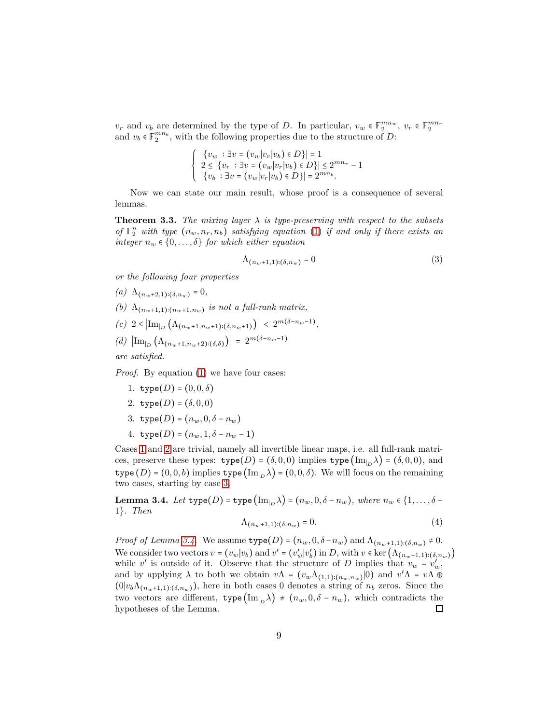$v_r$  and  $v_b$  are determined by the type of D. In particular,  $v_w \in \mathbb{F}_2^{mn_w}$ ,  $v_r \in \mathbb{F}_2^{mn_r}$ and  $v_b \in \mathbb{F}_2^{mn_b}$ , with the following properties due to the structure of D:

$$
\begin{cases} |\{v_w : \exists v = (v_w | v_r | v_b) \in D\}| = 1 \\ 2 \le |\{v_r : \exists v = (v_w | v_r | v_b) \in D\}| \le 2^{mn_r} - 1 \\ |\{v_b : \exists v = (v_w | v_r | v_b) \in D\}| = 2^{mn_b} .\end{cases}
$$

Now we can state our main result, whose proof is a consequence of several lemmas.

<span id="page-8-9"></span>**Theorem 3.3.** The mixing layer  $\lambda$  is type-preserving with respect to the subsets *of*  $\mathbb{F}_2^n$  *with type*  $(n_w, n_r, n_b)$  *satisfying equation* [\(1\)](#page-6-1) *if and only if there exists an integer*  $n_w \in \{0, \ldots, \delta\}$  *for which either equation* 

<span id="page-8-10"></span>
$$
\Lambda_{(n_w+1,1):(\delta,n_w)} = 0 \tag{3}
$$

<span id="page-8-5"></span>*or the following four properties*

<span id="page-8-6"></span>(a) 
$$
\Lambda_{(n_w+2,1):(\delta,n_w)} = 0,
$$

- <span id="page-8-7"></span>(b)  $\Lambda_{(n_w+1,1):(n_w+1,n_w)}$  *is not a full-rank matrix,*
- <span id="page-8-8"></span> $(c)$  2 ≤  $\left|\text{Im}_{b}\left(\Lambda_{(n_w+1,n_w+1):(\delta,n_w+1)}\right)\right|$  <  $2^{m(\delta-n_w-1)}$ ,
- $(d)$   $\left| \text{Im}_{p} \left( \Lambda_{(n_w+1,n_w+2): (\delta,\delta)} \right) \right| = 2^{m(\delta n_w-1)}$

*are satisfied.*

<span id="page-8-0"></span>*Proof.* By equation [\(1\)](#page-6-1) we have four cases:

- <span id="page-8-1"></span>1. type $(D) = (0, 0, \delta)$
- <span id="page-8-2"></span>2. type $(D) = (\delta, 0, 0)$
- <span id="page-8-4"></span>3. type $(D) = (n_w, 0, \delta - n_w)$
- 4. type $(D) = (n_w, 1, \delta n_w 1)$

Cases [1](#page-8-0) and [2](#page-8-1) are trivial, namely all invertible linear maps, i.e. all full-rank matrices, preserve these types:  $type(D) = (\delta, 0, 0)$  implies  $type(Im_{D}\lambda) = (\delta, 0, 0)$ , and type  $(D) = (0, 0, b)$  implies type  $(\text{Im}_{D} \lambda) = (0, 0, \delta)$ . We will focus on the remaining two cases, starting by case [3.](#page-8-2)

<span id="page-8-3"></span>**Lemma 3.4.** *Let*  $type(D) = type(\text{Im}_{D} \lambda) = (n_w, 0, \delta - n_w)$ *, where*  $n_w \in \{1, ..., \delta - n_w\}$ 1}*. Then*

$$
\Lambda_{(n_w+1,1):(\delta,n_w)} = 0.\tag{4}
$$

*Proof of Lemma [3.4.](#page-8-3)* We assume  $type(D) = (n_w, 0, \delta - n_w)$  and  $\Lambda_{(n_w+1,1):(\delta, n_w)} \neq 0$ . We consider two vectors  $v = (v_w | v_b)$  and  $v' = (v'_w | v'_b)$  in D, with  $v \in \text{ker}(\Lambda_{(n_w+1,1) : (\delta, n_w)})$ while v' is outside of it. Observe that the structure of D implies that  $v_w = v'_w$ , and by applying  $\lambda$  to both we obtain  $v\Lambda = (v_w\Lambda_{(1,1):(n_w,n_w)}|0)$  and  $v'\Lambda = v\Lambda \oplus$  $(0|v_b\Lambda_{(n_w+1,1):(\delta,n_w)})$ , here in both cases 0 denotes a string of  $n_b$  zeros. Since the two vectors are different,  $type(\text{Im}_{D} \lambda) \neq (n_w, 0, \delta - n_w)$ , which contradicts the hypotheses of the Lemma.  $\Box$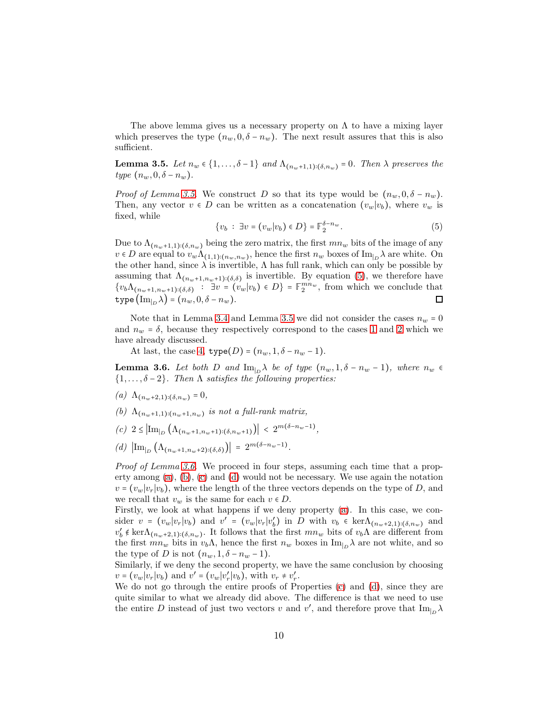The above lemma gives us a necessary property on  $\Lambda$  to have a mixing layer which preserves the type  $(n_w, 0, \delta - n_w)$ . The next result assures that this is also sufficient.

<span id="page-9-0"></span>**Lemma 3.5.** *Let*  $n_w \in \{1, ..., \delta - 1\}$  *and*  $\Lambda_{(n_w+1,1):(\delta,n_w)} = 0$ *. Then*  $\lambda$  *preserves the type*  $(n_w, 0, \delta - n_w)$ .

*Proof of Lemma [3.5.](#page-9-0)* We construct D so that its type would be  $(n_w, 0, \delta - n_w)$ . Then, any vector  $v \in D$  can be written as a concatenation  $(v_w|v_b)$ , where  $v_w$  is fixed, while

<span id="page-9-1"></span>
$$
\{v_b : \exists v = (v_w | v_b) \in D\} = \mathbb{F}_2^{\delta - n_w}.
$$
\n
$$
(5)
$$

Due to  $\Lambda_{(n_w+1,1):(\delta,n_w)}$  being the zero matrix, the first  $mn_w$  bits of the image of any  $v \in D$  are equal to  $v_w \Lambda_{(1,1):(n_w,n_w)}$ , hence the first  $n_w$  boxes of  $\text{Im}_{|D}\lambda$  are white. On the other hand, since  $\lambda$  is invertible,  $\Lambda$  has full rank, which can only be possible by assuming that  $\Lambda_{(n_w+1,n_w+1):(\delta,\delta)}$  is invertible. By equation [\(5\)](#page-9-1), we therefore have  $\{v_b\Lambda_{(n_w+1,n_w+1):(\delta,\delta)}$  :  $\exists v = (v_w|v_b) \in D\} = \mathbb{F}_2^{mn_w}$ , from which we conclude that type  $(\text{Im}_{\vert_D} \lambda) = (n_w, 0, \delta - n_w).$  $\Box$ 

Note that in Lemma [3.4](#page-8-3) and Lemma [3.5](#page-9-0) we did not consider the cases  $n_w = 0$ and  $n_w = \delta$ , because they respectively correspond to the cases [1](#page-8-0) and [2](#page-8-1) which we have already discussed.

At last, the case [4,](#page-8-4)  $type(D) = (n_w, 1, \delta - n_w - 1)$ .

<span id="page-9-2"></span>**Lemma 3.6.** Let both D and  $\text{Im}_{|D} \lambda$  be of type  $(n_w, 1, \delta - n_w - 1)$ , where  $n_w \in$ {1, . . . , δ − 2}*. Then* Λ *satisfies the following properties:*

- $(a)$   $\Lambda_{(n_w+2,1):(\delta,n_w)} = 0,$
- (b)  $\Lambda_{(n_w+1,1):(n_w+1,n_w)}$  *is not a full-rank matrix,*
- $(c)$  2 ≤  $\left| \text{Im}_{b} \left( \Lambda_{(n_w+1,n_w+1):(\delta,n_w+1)} \right) \right|$  <  $2^{m(\delta-n_w-1)}$ ,
- $(d)$   $\left| \text{Im}_{p} \left( \Lambda_{(n_w+1,n_w+2): (\delta,\delta)} \right) \right| = 2^{m(\delta-n_w-1)}.$

*Proof of Lemma [3.6.](#page-9-2)* We proceed in four steps, assuming each time that a property among  $(a)$ ,  $(b)$ ,  $(c)$  and  $(d)$  would not be necessary. We use again the notation  $v = (v_w|v_r|v_b)$ , where the length of the three vectors depends on the type of D, and we recall that  $v_w$  is the same for each  $v \in D$ .

Firstly, we look at what happens if we deny property [\(a\)](#page-8-5). In this case, we consider  $v = (v_w|v_r|v_b)$  and  $v' = (v_w|v_r|v'_b)$  in D with  $v_b \in \text{ker}\Lambda_{(n_w+2,1):(\delta,n_w)}$  and  $v'_b \notin \text{ker}\Lambda_{(n_w+2,1):(\delta,n_w)}$ . It follows that the first  $mn_w$  bits of  $v_b\Lambda$  are different from the first  $mn_w$  bits in  $v_b\Lambda$ , hence the first  $n_w$  boxes in  $\text{Im}_{|_D}\lambda$  are not white, and so the type of D is not  $(n_w, 1, \delta - n_w - 1)$ .

Similarly, if we deny the second property, we have the same conclusion by choosing  $v = (v_w|v_r|v_b)$  and  $v' = (v_w|v'_r|v_b)$ , with  $v_r \neq v'_r$ .

We do not go through the entire proofs of Properties [\(c\)](#page-8-7) and [\(d\)](#page-8-8), since they are quite similar to what we already did above. The difference is that we need to use the entire D instead of just two vectors v and v', and therefore prove that  $\text{Im}_{|D} \lambda$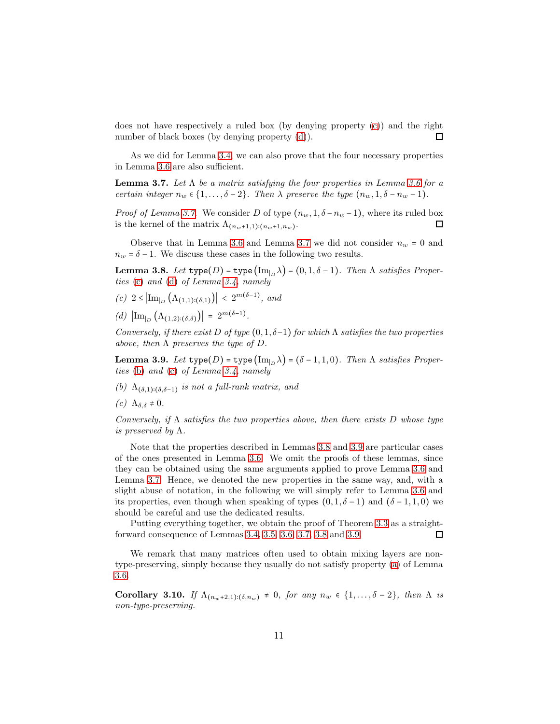does not have respectively a ruled box (by denying property [\(c\)](#page-8-7)) and the right number of black boxes (by denying property  $(d)$ ). п

As we did for Lemma [3.4,](#page-8-3) we can also prove that the four necessary properties in Lemma [3.6](#page-9-2) are also sufficient.

<span id="page-10-0"></span>Lemma 3.7. *Let* Λ *be a matrix satisfying the four properties in Lemma [3.6](#page-9-2) for a certain integer*  $n_w \in \{1, \ldots, \delta - 2\}$ *. Then*  $\lambda$  *preserve the type*  $(n_w, 1, \delta - n_w - 1)$ *.* 

*Proof of Lemma [3.7.](#page-10-0)* We consider D of type  $(n_w, 1, \delta - n_w - 1)$ , where its ruled box is the kernel of the matrix  $\Lambda_{(n_w+1,1):(n_w+1,n_w)}$ . 口

Observe that in Lemma [3.6](#page-9-2) and Lemma [3.7](#page-10-0) we did not consider  $n_w = 0$  and  $n_w = \delta - 1$ . We discuss these cases in the following two results.

<span id="page-10-1"></span>**Lemma 3.8.** *Let*  $type(D) = type(\text{Im}_{|D} \lambda) = (0, 1, \delta - 1)$ *. Then*  $\Lambda$  *satisfies Properties* [\(c\)](#page-8-7) *and* [\(d\)](#page-8-8) *of Lemma [3.4,](#page-8-3) namely*

<span id="page-10-4"></span><span id="page-10-3"></span> $(c)$  2 ≤  $\left|\text{Im}_{b}\left(\Lambda_{(1,1) : (\delta,1)}\right)\right|$  < 2<sup>*m*(δ−1)</sup>, and

 $(d)$   $\left|\text{Im}_{|D}(\Lambda_{(1,2):(\delta,\delta)})\right| = 2^{m(\delta-1)}$ .

*Conversely, if there exist* D *of type*  $(0, 1, \delta-1)$  *for which*  $\Lambda$  *satisfies the two properties above, then* Λ *preserves the type of* D*.*

<span id="page-10-2"></span>**Lemma 3.9.** *Let*  $type(D) = type(Im_{D} \lambda) = (\delta - 1, 1, 0)$ *. Then*  $\Lambda$  *satisfies Properties* [\(b\)](#page-8-6) *and* [\(c\)](#page-8-7) *of Lemma [3.4,](#page-8-3) namely*

<span id="page-10-6"></span><span id="page-10-5"></span>*(b)* Λ(δ,1)∶(δ,δ−1) *is not a full-rank matrix, and*

*(c)*  $Λ_{δ,δ} \neq 0$ *.* 

*Conversely, if* Λ *satisfies the two properties above, then there exists* D *whose type is preserved by* Λ*.*

Note that the properties described in Lemmas [3.8](#page-10-1) and [3.9](#page-10-2) are particular cases of the ones presented in Lemma [3.6.](#page-9-2) We omit the proofs of these lemmas, since they can be obtained using the same arguments applied to prove Lemma [3.6](#page-9-2) and Lemma [3.7.](#page-10-0) Hence, we denoted the new properties in the same way, and, with a slight abuse of notation, in the following we will simply refer to Lemma [3.6](#page-9-2) and its properties, even though when speaking of types  $(0, 1, \delta - 1)$  and  $(\delta - 1, 1, 0)$  we should be careful and use the dedicated results.

Putting everything together, we obtain the proof of Theorem [3.3](#page-8-9) as a straightforward consequence of Lemmas [3.4,](#page-8-3) [3.5,](#page-9-0) [3.6,](#page-9-2) [3.7,](#page-10-0) [3.8](#page-10-1) and [3.9.](#page-10-2)  $\Box$ 

We remark that many matrices often used to obtain mixing layers are nontype-preserving, simply because they usually do not satisfy property [\(a\)](#page-8-5) of Lemma [3.6.](#page-9-2)

<span id="page-10-7"></span>Corollary 3.10. *If*  $\Lambda_{(n_w+2,1):(\delta,n_w)} \neq 0$ *, for any*  $n_w \in \{1,\ldots,\delta-2\}$ *, then*  $\Lambda$  *is non-type-preserving.*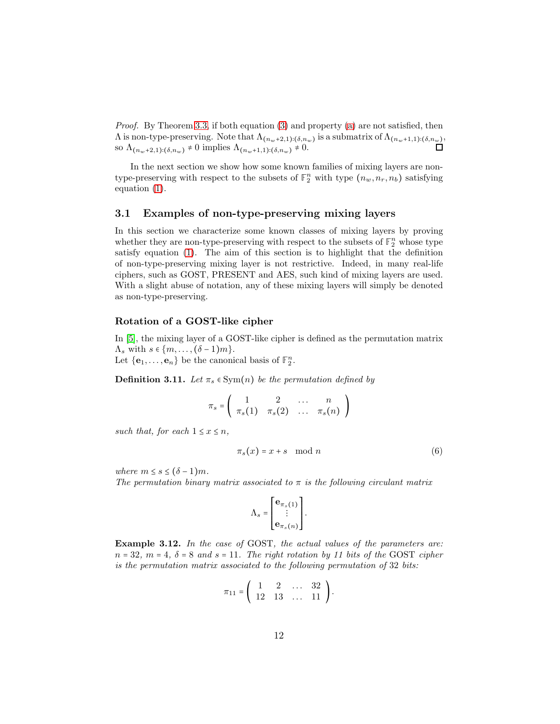*Proof.* By Theorem [3.3,](#page-8-9) if both equation [\(3\)](#page-8-10) and property [\(a\)](#page-8-5) are not satisfied, then  $\Lambda$  is non-type-preserving. Note that  $\Lambda_{(n_w+2,1):(\delta,n_w)}$  is a submatrix of  $\Lambda_{(n_w+1,1):(\delta,n_w)}$ , so  $\Lambda_{(n_w+2,1):(\delta,n_w)} \neq 0$  implies  $\Lambda_{(n_w+1,1):(\delta,n_w)} \neq 0$ .

In the next section we show how some known families of mixing layers are nontype-preserving with respect to the subsets of  $\mathbb{F}_2^n$  with type  $(n_w, n_r, n_b)$  satisfying equation [\(1\)](#page-6-1).

#### 3.1 Examples of non-type-preserving mixing layers

In this section we characterize some known classes of mixing layers by proving whether they are non-type-preserving with respect to the subsets of  $\mathbb{F}_2^n$  whose type satisfy equation [\(1\)](#page-6-1). The aim of this section is to highlight that the definition of non-type-preserving mixing layer is not restrictive. Indeed, in many real-life ciphers, such as GOST, PRESENT and AES, such kind of mixing layers are used. With a slight abuse of notation, any of these mixing layers will simply be denoted as non-type-preserving.

#### Rotation of a GOST-like cipher

In [\[5\]](#page-18-2), the mixing layer of a GOST-like cipher is defined as the permutation matrix  $\Lambda_s$  with  $s \in \{m, \ldots, (\delta - 1)m\}.$ Let  $\{\mathbf{e}_1, \ldots, \mathbf{e}_n\}$  be the canonical basis of  $\mathbb{F}_2^n$ .

**Definition 3.11.** *Let*  $\pi_s \in \text{Sym}(n)$  *be the permutation defined by* 

$$
\pi_s = \left( \begin{array}{cccc} 1 & 2 & \dots & n \\ \pi_s(1) & \pi_s(2) & \dots & \pi_s(n) \end{array} \right)
$$

*such that, for each*  $1 \leq x \leq n$ *,* 

$$
\pi_s(x) = x + s \mod n \tag{6}
$$

*where*  $m \leq s \leq (\delta - 1)m$ *.* 

*The permutation binary matrix associated to* π *is the following circulant matrix*

$$
\Lambda_s = \begin{bmatrix} \mathbf{e}_{\pi_s(1)} \\ \vdots \\ \mathbf{e}_{\pi_s(n)} \end{bmatrix}.
$$

Example 3.12. *In the case of* GOST*, the actual values of the parameters are:*  $n = 32$ ,  $m = 4$ ,  $\delta = 8$  and  $s = 11$ . The right rotation by 11 bits of the GOST cipher *is the permutation matrix associated to the following permutation of* 32 *bits:*

$$
\pi_{11} = \left( \begin{array}{cccc} 1 & 2 & \dots & 32 \\ 12 & 13 & \dots & 11 \end{array} \right).
$$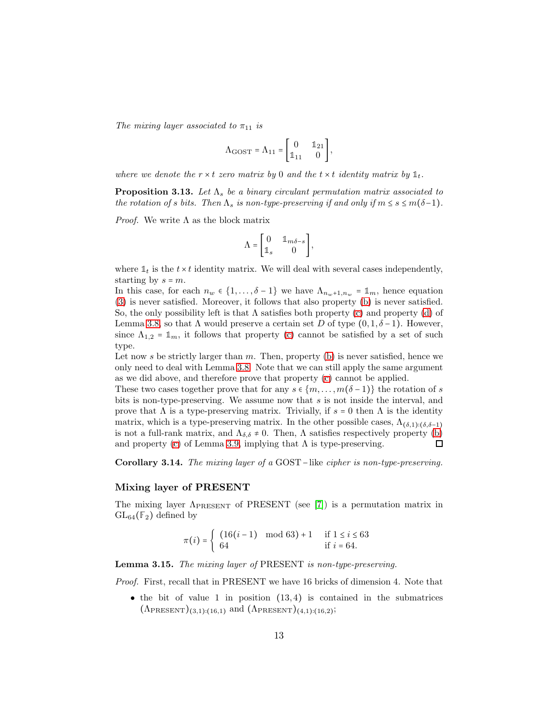*The mixing layer associated to*  $\pi_{11}$  *is* 

$$
\Lambda_{\rm GOST}=\Lambda_{11}=\begin{bmatrix}0&\mathbb{1}_{21}\\ \mathbb{1}_{11}&0\end{bmatrix},
$$

*where we denote the*  $r \times t$  *zero matrix by* 0 *and the*  $t \times t$  *identity matrix by*  $\mathbb{1}_t$ *.* 

**Proposition 3.13.** Let  $\Lambda_s$  be a binary circulant permutation matrix associated to *the rotation of s bits. Then*  $\Lambda_s$  *is non-type-preserving if and only if*  $m \leq s \leq m(\delta-1)$ *.* 

*Proof.* We write  $\Lambda$  as the block matrix

$$
\Lambda = \begin{bmatrix} 0 & \mathbb{1}_{m\delta-s} \\ \mathbb{1}_s & 0 \end{bmatrix},
$$

where  $\mathbb{1}_t$  is the  $t \times t$  identity matrix. We will deal with several cases independently, starting by  $s = m$ .

In this case, for each  $n_w \in \{1, ..., \delta - 1\}$  we have  $\Lambda_{n_w+1,n_w} = \mathbb{1}_m$ , hence equation [\(3\)](#page-8-10) is never satisfied. Moreover, it follows that also property [\(b\)](#page-8-6) is never satisfied. So, the only possibility left is that  $\Lambda$  satisfies both property [\(c\)](#page-10-3) and property [\(d\)](#page-10-4) of Lemma [3.8,](#page-10-1) so that  $\Lambda$  would preserve a certain set D of type  $(0, 1, \delta - 1)$ . However, since  $\Lambda_{1,2} = \mathbb{1}_m$ , it follows that property [\(c\)](#page-10-3) cannot be satisfied by a set of such type.

Let now s be strictly larger than  $m$ . Then, property [\(b\)](#page-8-6) is never satisfied, hence we only need to deal with Lemma [3.8.](#page-10-1) Note that we can still apply the same argument as we did above, and therefore prove that property [\(c\)](#page-10-3) cannot be applied.

These two cases together prove that for any  $s \in \{m, \ldots, m(\delta-1)\}\)$  the rotation of s bits is non-type-preserving. We assume now that s is not inside the interval, and prove that  $\Lambda$  is a type-preserving matrix. Trivially, if  $s = 0$  then  $\Lambda$  is the identity matrix, which is a type-preserving matrix. In the other possible cases,  $\Lambda_{(\delta,1):(\delta,\delta-1)}$ is not a full-rank matrix, and  $\Lambda_{\delta,\delta} \neq 0$ . Then,  $\Lambda$  satisfies respectively property [\(b\)](#page-10-5) and property (c) of Lemma 3.9, implying that  $\Lambda$  is type-preserving. and property [\(c\)](#page-10-6) of Lemma [3.9,](#page-10-2) implying that  $\Lambda$  is type-preserving.

Corollary 3.14. *The mixing layer of a* GOST−like *cipher is non-type-preserving.*

#### Mixing layer of PRESENT

The mixing layer  $\Lambda_{\text{PRESENT}}$  of PRESENT (see [\[7\]](#page-19-10)) is a permutation matrix in  $GL_{64}(\mathbb{F}_2)$  defined by

$$
\pi(i) = \begin{cases} (16(i-1) \mod 63) + 1 & \text{if } 1 \le i \le 63 \\ 64 & \text{if } i = 64. \end{cases}
$$

Lemma 3.15. *The mixing layer of* PRESENT *is non-type-preserving.*

*Proof.* First, recall that in PRESENT we have 16 bricks of dimension 4. Note that

 $\bullet$  the bit of value 1 in position  $(13, 4)$  is contained in the submatrices  $(\Lambda_{\text{PRESENT}})_{(3,1):(16,1)}$  and  $(\Lambda_{\text{PRESENT}})_{(4,1):(16,2)}$ ;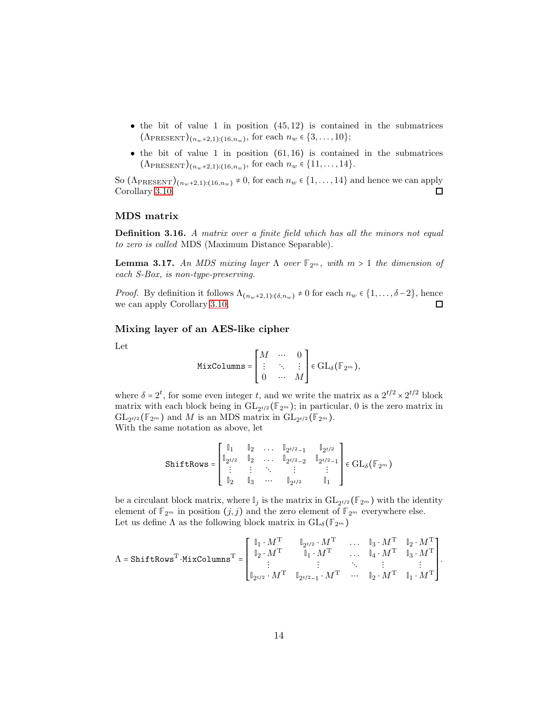- the bit of value 1 in position  $(45, 12)$  is contained in the submatrices  $(\Lambda_{\text{PRESENT}})_{(n_w+2,1):(16,n_w)}$ , for each  $n_w \in \{3,\ldots,10\};$
- $\bullet$  the bit of value 1 in position  $(61, 16)$  is contained in the submatrices  $(\Lambda_{\text{PRESENT}})_{(n_w+2,1):(16,n_w)}$ , for each  $n_w \in \{11,\ldots,14\}.$

So  $(\Lambda_{\text{PRESENT}})_{(n_w+2,1):(16,n_w)} \neq 0$ , for each  $n_w \in \{1,\ldots,14\}$  and hence we can apply Corollary 3.10. Corollary [3.10.](#page-10-7)

#### MDS matrix

Definition 3.16. *A matrix over a finite field which has all the minors not equal to zero is called* MDS (Maximum Distance Separable)*.*

**Lemma 3.17.** An MDS mixing layer  $\Lambda$  over  $\mathbb{F}_{2^m}$ , with  $m > 1$  the dimension of *each S-Box, is non-type-preserving.*

*Proof.* By definition it follows  $\Lambda_{(n_w+2,1):(\delta,n_w)} \neq 0$  for each  $n_w \in \{1,\ldots,\delta-2\}$ , hence we can apply Corollary [3.10.](#page-10-7) 口

#### Mixing layer of an AES-like cipher

Let

$$
\mathtt{MixColumns} = \begin{bmatrix} M & \cdots & 0 \\ \vdots & \ddots & \vdots \\ 0 & \cdots & M \end{bmatrix} \in \mathrm{GL}_{\delta}(\mathbb{F}_{2^m}),
$$

where  $\delta = 2^t$ , for some even integer t, and we write the matrix as a  $2^{t/2} \times 2^{t/2}$  block matrix with each block being in  $\overline{\mathrm{GL}_{2^{t/2}}(\mathbb{F}_{2^m})}$ ; in particular, 0 is the zero matrix in  $\mathrm{GL}_{2^{t/2}}(\mathbb{F}_{2^m})$  and M is an MDS matrix in  $\mathrm{GL}_{2^{t/2}}(\mathbb{F}_{2^m})$ . With the same notation as above, let

$$
\texttt{ShiftRows} = \begin{bmatrix} \mathbb{I}_1 & \mathbb{I}_2 & \dots & \mathbb{I}_{2^{t/2}-1} & \mathbb{I}_{2^{t/2}} \\ \mathbb{I}_2 & \mathbb{I}_2 & \dots & \mathbb{I}_{2^{t/2}-2} & \mathbb{I}_{2^{t/2}-1} \\ \vdots & \vdots & \ddots & \vdots & \vdots \\ \mathbb{I}_2 & \mathbb{I}_3 & \dots & \mathbb{I}_{2^{t/2}} & \mathbb{I}_1 \end{bmatrix} \in \text{GL}_\delta(\mathbb{F}_{2^m})
$$

be a circulant block matrix, where  $\mathbb{I}_j$  is the matrix in  $\mathrm{GL}_{2^{t/2}}(\mathbb{F}_{2^m})$  with the identity element of  $\mathbb{F}_{2^m}$  in position  $(j, j)$  and the zero element of  $\mathbb{F}_{2^m}$  everywhere else. Let us define  $\Lambda$  as the following block matrix in  $\mathrm{GL}_{\delta}(\mathbb{F}_{2^m})$ 

$$
\Lambda = \texttt{ShiftRows}^{\text{T}} \cdot \texttt{MixColumns}^{\text{T}} = \begin{bmatrix} \mathbb{I}_1 \cdot M^{\text{T}} & \mathbb{I}_{2^{t/2}} \cdot M^{\text{T}} & \dots & \mathbb{I}_3 \cdot M^{\text{T}} & \mathbb{I}_2 \cdot M^{\text{T}} \\ \mathbb{I}_2 \cdot M^{\text{T}} & \mathbb{I}_1 \cdot M^{\text{T}} & \dots & \mathbb{I}_4 \cdot M^{\text{T}} & \mathbb{I}_3 \cdot M^{\text{T}} \\ \vdots & \vdots & \ddots & \vdots & \vdots \\ \mathbb{I}_{2^{t/2}} \cdot M^{\text{T}} & \mathbb{I}_{2^{t/2} - 1} \cdot M^{\text{T}} & \dots & \mathbb{I}_2 \cdot M^{\text{T}} & \mathbb{I}_1 \cdot M^{\text{T}} \end{bmatrix}.
$$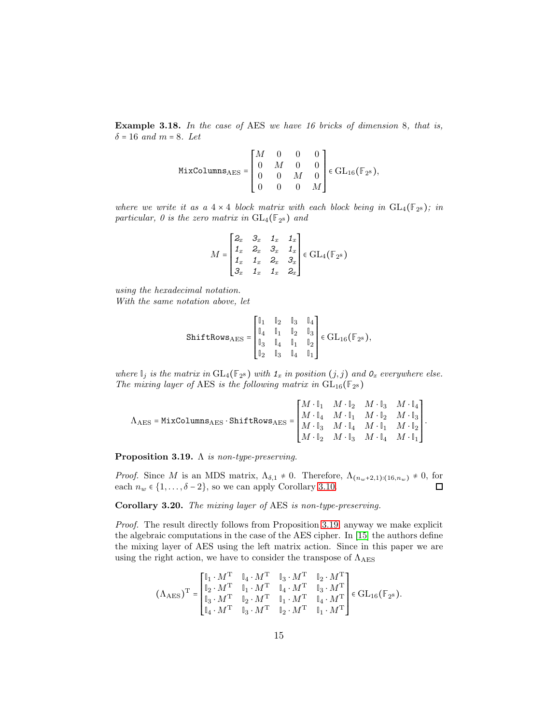Example 3.18. *In the case of* AES *we have 16 bricks of dimension* 8*, that is,*  $\delta = 16$  *and*  $m = 8$ *. Let* 

$$
\text{MixColumes}_{\text{AES}} = \begin{bmatrix} M & 0 & 0 & 0 \\ 0 & M & 0 & 0 \\ 0 & 0 & M & 0 \\ 0 & 0 & 0 & M \end{bmatrix} \in \text{GL}_{16}(\mathbb{F}_{2^8}),
$$

*where we write it as a*  $4 \times 4$  *block matrix with each block being in*  $GL_4(\mathbb{F}_{2^8})$ *; in* particular, 0 is the zero matrix in  $GL_4(\mathbb{F}_{2^8})$  and

$$
M = \begin{bmatrix} 2_x & 3_x & 1_x & 1_x \\ 1_x & 2_x & 3_x & 1_x \\ 1_x & 1_x & 2_x & 3_x \\ 3_x & 1_x & 1_x & 2_x \end{bmatrix} \in GL_4(\mathbb{F}_{2^8})
$$

*using the hexadecimal notation. With the same notation above, let*

$$
\texttt{ShiftRows}_{\text{AES}} = \begin{bmatrix} \mathbb{I}_1 & \mathbb{I}_2 & \mathbb{I}_3 & \mathbb{I}_4 \\ \mathbb{I}_4 & \mathbb{I}_1 & \mathbb{I}_2 & \mathbb{I}_3 \\ \mathbb{I}_3 & \mathbb{I}_4 & \mathbb{I}_1 & \mathbb{I}_2 \\ \mathbb{I}_2 & \mathbb{I}_3 & \mathbb{I}_4 & \mathbb{I}_1 \end{bmatrix} \in \text{GL}_{16}(\mathbb{F}_{2^8}),
$$

*where*  $\mathbb{I}_j$  *is the matrix in*  $GL_4(\mathbb{F}_{2^8})$  *with*  $\mathbb{1}_x$  *in position*  $(j, j)$  *and*  $\mathbb{0}_x$  *everywhere else. The mixing layer of* AES *is the following matrix in*  $GL_{16}(\mathbb{F}_{2^8})$ 

$$
\Lambda_{\text{AES}} = \texttt{MixColumns}_{\text{AES}} \cdot \texttt{ShiftRows}_{\text{AES}} = \begin{bmatrix} M \cdot \mathbb{I}_1 & M \cdot \mathbb{I}_2 & M \cdot \mathbb{I}_3 & M \cdot \mathbb{I}_4 \\ M \cdot \mathbb{I}_4 & M \cdot \mathbb{I}_1 & M \cdot \mathbb{I}_2 & M \cdot \mathbb{I}_3 \\ M \cdot \mathbb{I}_3 & M \cdot \mathbb{I}_4 & M \cdot \mathbb{I}_1 & M \cdot \mathbb{I}_2 \\ M \cdot \mathbb{I}_2 & M \cdot \mathbb{I}_3 & M \cdot \mathbb{I}_4 & M \cdot \mathbb{I}_1 \end{bmatrix}.
$$

<span id="page-14-0"></span>Proposition 3.19. Λ *is non-type-preserving.*

*Proof.* Since M is an MDS matrix,  $\Lambda_{\delta,1} \neq 0$ . Therefore,  $\Lambda_{(n_w+2,1):(16,n_w)} \neq 0$ , for each  $n_w \in \{1, ..., \delta-2\}$ , so we can apply Corollary 3.10. each  $n_w \in \{1, \ldots, \delta - 2\}$ , so we can apply Corollary [3.10.](#page-10-7)

Corollary 3.20. *The mixing layer of* AES *is non-type-preserving.*

*Proof.* The result directly follows from Proposition [3.19,](#page-14-0) anyway we make explicit the algebraic computations in the case of the AES cipher. In [\[15\]](#page-19-11) the authors define the mixing layer of AES using the left matrix action. Since in this paper we are using the right action, we have to consider the transpose of  $\Lambda_{\rm AES}$ 

$$
\label{eq:lambda} \text{(A}_{\text{AES}})^{\text{T}} = \begin{bmatrix} \mathbb{I}_1 \cdot M^{\text{T}} & \mathbb{I}_4 \cdot M^{\text{T}} & \mathbb{I}_3 \cdot M^{\text{T}} & \mathbb{I}_2 \cdot M^{\text{T}} \\ \mathbb{I}_2 \cdot M^{\text{T}} & \mathbb{I}_1 \cdot M^{\text{T}} & \mathbb{I}_4 \cdot M^{\text{T}} & \mathbb{I}_3 \cdot M^{\text{T}} \\ \mathbb{I}_3 \cdot M^{\text{T}} & \mathbb{I}_2 \cdot M^{\text{T}} & \mathbb{I}_1 \cdot M^{\text{T}} & \mathbb{I}_4 \cdot M^{\text{T}} \\ \mathbb{I}_4 \cdot M^{\text{T}} & \mathbb{I}_3 \cdot M^{\text{T}} & \mathbb{I}_2 \cdot M^{\text{T}} & \mathbb{I}_1 \cdot M^{\text{T}} \end{bmatrix} \in \text{GL}_{16}(\mathbb{F}_{2^8}).
$$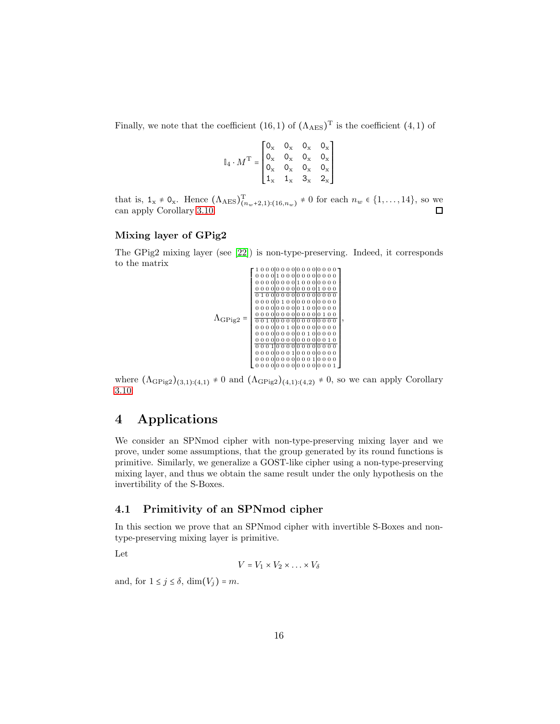Finally, we note that the coefficient  $(16,1)$  of  $(\Lambda_{\text{AES}})^{\text{T}}$  is the coefficient  $(4,1)$  of

$$
\mathbb{I}_4 \cdot M^{\rm T} = \begin{bmatrix} 0_{\rm x} & 0_{\rm x} & 0_{\rm x} & 0_{\rm x} \\ 0_{\rm x} & 0_{\rm x} & 0_{\rm x} & 0_{\rm x} \\ 0_{\rm x} & 0_{\rm x} & 0_{\rm x} & 0_{\rm x} \\ 1_{\rm x} & 1_{\rm x} & 3_{\rm x} & 2_{\rm x} \end{bmatrix}
$$

that is,  $1_x \neq 0_x$ . Hence  $(\Lambda_{\text{AES}})_{(n_w+2,1):(16,n_w)}^T \neq 0$  for each  $n_w \in \{1,\ldots,14\}$ , so we can apply Corollary [3.10.](#page-10-7)

#### Mixing layer of GPig2

The GPig2 mixing layer (see [\[22\]](#page-20-4)) is non-type-preserving. Indeed, it corresponds to the matrix



where  $(\Lambda_{GPig2})_{(3,1):(4,1)} \neq 0$  and  $(\Lambda_{GPig2})_{(4,1):(4,2)} \neq 0$ , so we can apply Corollary [3.10.](#page-10-7)

# <span id="page-15-0"></span>4 Applications

We consider an SPNmod cipher with non-type-preserving mixing layer and we prove, under some assumptions, that the group generated by its round functions is primitive. Similarly, we generalize a GOST-like cipher using a non-type-preserving mixing layer, and thus we obtain the same result under the only hypothesis on the invertibility of the S-Boxes.

#### 4.1 Primitivity of an SPNmod cipher

In this section we prove that an SPNmod cipher with invertible S-Boxes and nontype-preserving mixing layer is primitive.

Let

$$
V = V_1 \times V_2 \times \ldots \times V_{\delta}
$$

and, for  $1 \leq j \leq \delta$ ,  $\dim(V_j) = m$ .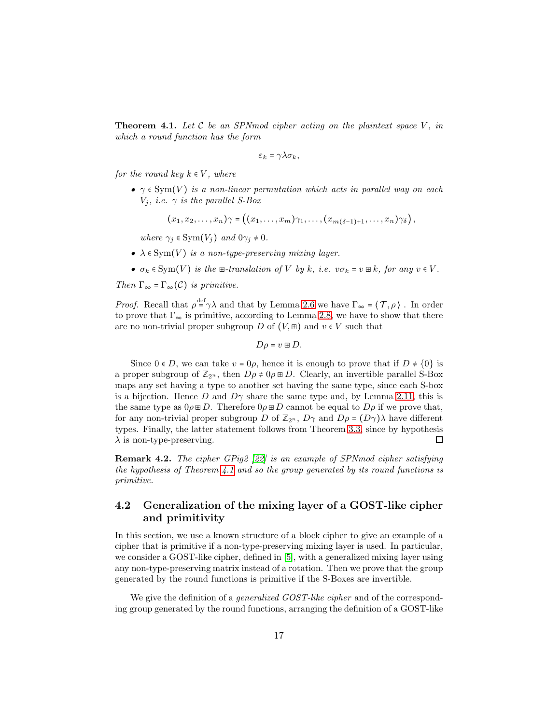<span id="page-16-0"></span>**Theorem 4.1.** Let  $C$  be an SPN mod cipher acting on the plaintext space  $V$ , in *which a round function has the form*

$$
\varepsilon_k = \gamma \lambda \sigma_k,
$$

*for the round key*  $k \in V$ *, where* 

•  $\gamma \in \text{Sym}(V)$  *is a non-linear permutation which acts in parallel way on each*  $V_j$ *, i.e.*  $\gamma$  *is the parallel S-Box* 

$$
(x_1,x_2,\ldots,x_n)\gamma=\left((x_1,\ldots,x_m)\gamma_1,\ldots,(x_{m(\delta-1)+1},\ldots,x_n)\gamma_\delta\right),
$$

*where*  $\gamma_i \in \text{Sym}(V_i)$  *and*  $0\gamma_i \neq 0$ *.* 

- $\lambda \in \text{Sym}(V)$  *is a non-type-preserving mixing layer.*
- $\sigma_k \in \text{Sym}(V)$  *is the*  $\text{E-}$ *translation of* V *by* k*, i.e.*  $v\sigma_k = v \text{E } k$ *, for any*  $v \in V$ *.*

*Then*  $\Gamma_{\infty} = \Gamma_{\infty}(\mathcal{C})$  *is primitive.* 

*Proof.* Recall that  $\rho^{\text{def}} \gamma \lambda$  and that by Lemma [2.6](#page-5-1) we have  $\Gamma_{\infty} = \langle \mathcal{T}, \rho \rangle$  . In order to prove that  $\Gamma_{\infty}$  is primitive, according to Lemma [2.8,](#page-5-2) we have to show that there are no non-trivial proper subgroup D of  $(V, \mathbb{E})$  and  $v \in V$  such that

$$
D\rho = v \boxplus D.
$$

Since  $0 \in D$ , we can take  $v = 0\rho$ , hence it is enough to prove that if  $D \neq \{0\}$  is a proper subgroup of  $\mathbb{Z}_{2^n}$ , then  $D\rho \neq 0 \rho \boxplus D$ . Clearly, an invertible parallel S-Box maps any set having a type to another set having the same type, since each S-box is a bijection. Hence D and  $D\gamma$  share the same type and, by Lemma [2.11,](#page-6-2) this is the same type as  $0 \rho \boxplus D$ . Therefore  $0 \rho \boxplus D$  cannot be equal to  $D \rho$  if we prove that, for any non-trivial proper subgroup D of  $\mathbb{Z}_{2^n}$ ,  $D\gamma$  and  $D\rho = (D\gamma)\lambda$  have different types. Finally, the latter statement follows from Theorem [3.3,](#page-8-9) since by hypothesis  $\Box$  $\lambda$  is non-type-preserving.

Remark 4.2. *The cipher GPig2 [\[22\]](#page-20-4) is an example of SPNmod cipher satisfying the hypothesis of Theorem [4.1](#page-16-0) and so the group generated by its round functions is primitive.*

### <span id="page-16-1"></span>4.2 Generalization of the mixing layer of a GOST-like cipher and primitivity

In this section, we use a known structure of a block cipher to give an example of a cipher that is primitive if a non-type-preserving mixing layer is used. In particular, we consider a GOST-like cipher, defined in [\[5\]](#page-18-2), with a generalized mixing layer using any non-type-preserving matrix instead of a rotation. Then we prove that the group generated by the round functions is primitive if the S-Boxes are invertible.

We give the definition of a *generalized GOST-like cipher* and of the corresponding group generated by the round functions, arranging the definition of a GOST-like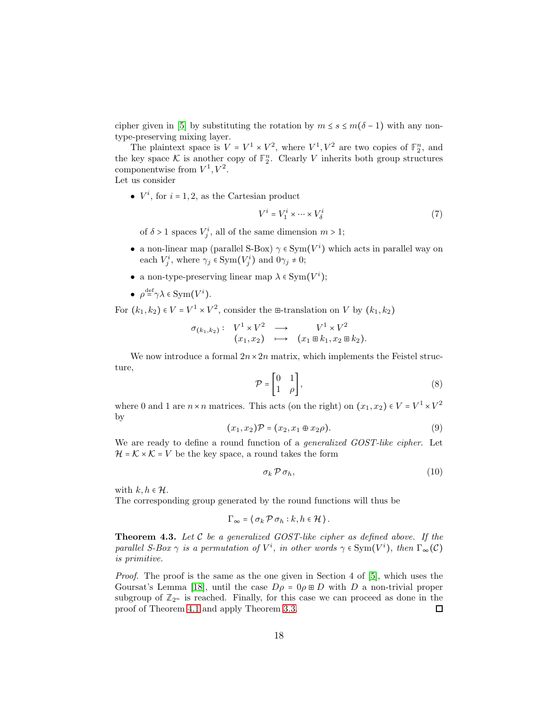cipher given in [\[5\]](#page-18-2) by substituting the rotation by  $m \leq s \leq m(\delta - 1)$  with any nontype-preserving mixing layer.

The plaintext space is  $V = V^1 \times V^2$ , where  $V^1, V^2$  are two copies of  $\mathbb{F}_2^n$ , and the key space  $K$  is another copy of  $\mathbb{F}_2^n$ . Clearly V inherits both group structures componentwise from  $V^1, V^2$ .

Let us consider

•  $V^i$ , for  $i = 1, 2$ , as the Cartesian product

$$
V^i = V_1^i \times \dots \times V_\delta^i \tag{7}
$$

of  $\delta > 1$  spaces  $V_j^i$ , all of the same dimension  $m > 1$ ;

- a non-linear map (parallel S-Box) $\gamma \in \mathrm{Sym}(V^i)$  which acts in parallel way on each  $V_j^i$ , where  $\gamma_j \in \text{Sym}(V_j^i)$  and  $0\gamma_j \neq 0$ ;
- a non-type-preserving linear map  $\lambda \in \text{Sym}(V^i)$ ;
- $\rho^{\text{def}} \gamma \lambda \in \text{Sym}(V^i)$ .

For  $(k_1, k_2) \in V = V^1 \times V^2$ , consider the  $\mathbb{H}$ -translation on V by  $(k_1, k_2)$ 

$$
\sigma_{(k_1,k_2)}: V^1 \times V^2 \longrightarrow V^1 \times V^2
$$
  

$$
(x_1,x_2) \longrightarrow (x_1 \boxplus k_1, x_2 \boxplus k_2).
$$

We now introduce a formal  $2n \times 2n$  matrix, which implements the Feistel structure,

$$
\mathcal{P} = \begin{bmatrix} 0 & 1 \\ 1 & \rho \end{bmatrix},\tag{8}
$$

where 0 and 1 are  $n \times n$  matrices. This acts (on the right) on  $(x_1, x_2) \in V = V^1 \times V^2$ by

$$
(x_1, x_2)\mathcal{P} = (x_2, x_1 \oplus x_2 \rho). \tag{9}
$$

We are ready to define a round function of a *generalized GOST-like cipher*. Let  $\mathcal{H} = \mathcal{K} \times \mathcal{K} = V$  be the key space, a round takes the form

$$
\sigma_k \, \mathcal{P} \, \sigma_h, \tag{10}
$$

with  $k, h \in \mathcal{H}$ .

The corresponding group generated by the round functions will thus be

$$
\Gamma_{\infty} = \langle \sigma_k \mathcal{P} \, \sigma_h : k, h \in \mathcal{H} \rangle.
$$

<span id="page-17-0"></span>Theorem 4.3. *Let* C *be a generalized GOST-like cipher as defined above. If the parallel S-Box*  $\gamma$  *is a permutation of*  $V^i$ *, in other words*  $\gamma \in \text{Sym}(V^i)$ *, then*  $\Gamma_{\infty}(\mathcal{C})$ *is primitive.*

*Proof.* The proof is the same as the one given in Section 4 of [\[5\]](#page-18-2), which uses the Goursat's Lemma [\[18\]](#page-19-14), until the case  $D\rho = 0 \rho \boxplus D$  with D a non-trivial proper subgroup of  $\mathbb{Z}_{2^n}$  is reached. Finally, for this case we can proceed as done in the proof of Theorem [4.1](#page-16-0) and apply Theorem [3.3.](#page-8-9) 口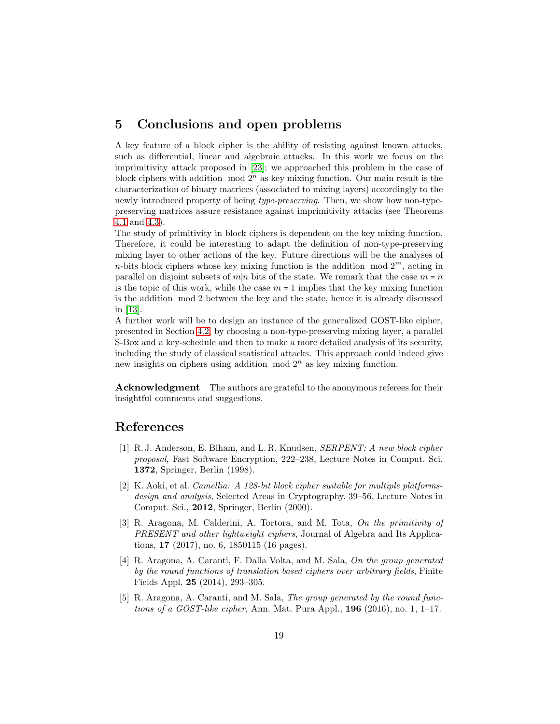# 5 Conclusions and open problems

A key feature of a block cipher is the ability of resisting against known attacks, such as differential, linear and algebraic attacks. In this work we focus on the imprimitivity attack proposed in [\[23\]](#page-20-5); we approached this problem in the case of block ciphers with addition  $mod 2<sup>n</sup>$  as key mixing function. Our main result is the characterization of binary matrices (associated to mixing layers) accordingly to the newly introduced property of being *type-preserving*. Then, we show how non-typepreserving matrices assure resistance against imprimitivity attacks (see Theorems [4.1](#page-16-0) and [4.3\)](#page-17-0).

The study of primitivity in block ciphers is dependent on the key mixing function. Therefore, it could be interesting to adapt the definition of non-type-preserving mixing layer to other actions of the key. Future directions will be the analyses of n-bits block ciphers whose key mixing function is the addition mod  $2^m$ , acting in parallel on disjoint subsets of  $m|n$  bits of the state. We remark that the case  $m = n$ is the topic of this work, while the case  $m = 1$  implies that the key mixing function is the addition mod 2 between the key and the state, hence it is already discussed in [\[13\]](#page-19-9).

A further work will be to design an instance of the generalized GOST-like cipher, presented in Section [4.2,](#page-16-1) by choosing a non-type-preserving mixing layer, a parallel S-Box and a key-schedule and then to make a more detailed analysis of its security, including the study of classical statistical attacks. This approach could indeed give new insights on ciphers using addition  $mod 2<sup>n</sup>$  as key mixing function.

**Acknowledgment** The authors are grateful to the anonymous referees for their insightful comments and suggestions.

### <span id="page-18-3"></span>References

- [1] R. J. Anderson, E. Biham, and L. R. Knudsen, *SERPENT: A new block cipher proposal*, Fast Software Encryption, 222–238, Lecture Notes in Comput. Sci. 1372, Springer, Berlin (1998).
- <span id="page-18-4"></span>[2] K. Aoki, et al. *Camellia: A 128-bit block cipher suitable for multiple platformsdesign and analysis*, Selected Areas in Cryptography. 39–56, Lecture Notes in Comput. Sci., 2012, Springer, Berlin (2000).
- <span id="page-18-0"></span>[3] R. Aragona, M. Calderini, A. Tortora, and M. Tota, *On the primitivity of PRESENT and other lightweight ciphers*, Journal of Algebra and Its Applications, 17 (2017), no. 6, 1850115 (16 pages).
- <span id="page-18-1"></span>[4] R. Aragona, A. Caranti, F. Dalla Volta, and M. Sala, *On the group generated by the round functions of translation based ciphers over arbitrary fields*, Finite Fields Appl. 25 (2014), 293–305.
- <span id="page-18-2"></span>[5] R. Aragona, A. Caranti, and M. Sala, *The group generated by the round functions of a GOST-like cipher*, Ann. Mat. Pura Appl., 196 (2016), no. 1, 1–17.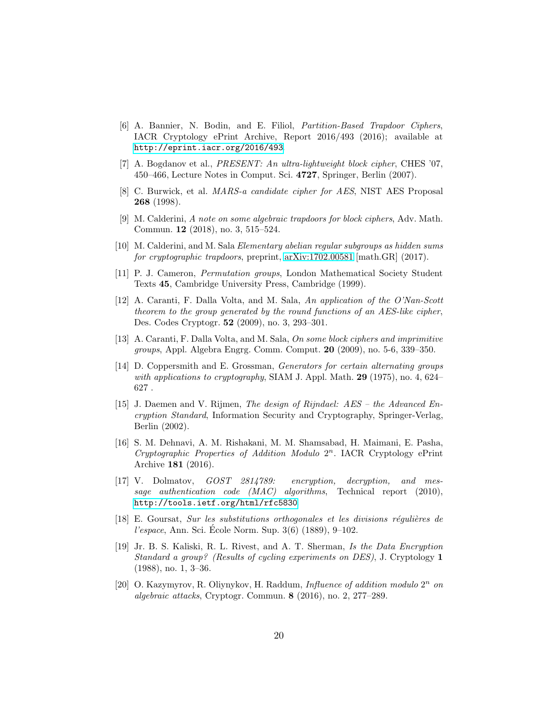- <span id="page-19-13"></span>[6] A. Bannier, N. Bodin, and E. Filiol, *Partition-Based Trapdoor Ciphers*, IACR Cryptology ePrint Archive, Report 2016/493 (2016); available at <http://eprint.iacr.org/2016/493>.
- <span id="page-19-10"></span>[7] A. Bogdanov et al., *PRESENT: An ultra-lightweight block cipher*, CHES '07, 450–466, Lecture Notes in Comput. Sci. 4727, Springer, Berlin (2007).
- <span id="page-19-0"></span>[8] C. Burwick, et al. *MARS-a candidate cipher for AES*, NIST AES Proposal 268 (1998).
- <span id="page-19-7"></span>[9] M. Calderini, *A note on some algebraic trapdoors for block ciphers*, Adv. Math. Commun. 12 (2018), no. 3, 515–524.
- <span id="page-19-12"></span><span id="page-19-6"></span>[10] M. Calderini, and M. Sala *Elementary abelian regular subgroups as hidden sums for cryptographic trapdoors*, preprint, [arXiv:1702.00581](http://arxiv.org/abs/1702.00581) [math.GR] (2017).
- [11] P. J. Cameron, *Permutation groups*, London Mathematical Society Student Texts 45, Cambridge University Press, Cambridge (1999).
- <span id="page-19-8"></span>[12] A. Caranti, F. Dalla Volta, and M. Sala, *An application of the O'Nan-Scott theorem to the group generated by the round functions of an AES-like cipher*, Des. Codes Cryptogr. 52 (2009), no. 3, 293–301.
- <span id="page-19-9"></span>[13] A. Caranti, F. Dalla Volta, and M. Sala, *On some block ciphers and imprimitive groups*, Appl. Algebra Engrg. Comm. Comput. 20 (2009), no. 5-6, 339–350.
- <span id="page-19-4"></span>[14] D. Coppersmith and E. Grossman, *Generators for certain alternating groups with applications to cryptography*, SIAM J. Appl. Math. 29 (1975), no. 4, 624–  $627$  .
- <span id="page-19-11"></span>[15] J. Daemen and V. Rijmen, *The design of Rijndael: AES – the Advanced Encryption Standard*, Information Security and Cryptography, Springer-Verlag, Berlin (2002).
- <span id="page-19-3"></span>[16] S. M. Dehnavi, A. M. Rishakani, M. M. Shamsabad, H. Maimani, E. Pasha, *Cryptographic Properties of Addition Modulo* 2 n . IACR Cryptology ePrint Archive 181 (2016).
- <span id="page-19-1"></span>[17] V. Dolmatov, *GOST 2814789: encryption, decryption, and message authentication code (MAC) algorithms*, Technical report (2010), <http://tools.ietf.org/html/rfc5830>.
- <span id="page-19-14"></span>[18] E. Goursat, *Sur les substitutions orthogonales et les divisions r´eguli`eres de l'espace*, Ann. Sci. Ecole Norm. Sup. 3(6) (1889), 9–102.
- <span id="page-19-5"></span>[19] Jr. B. S. Kaliski, R. L. Rivest, and A. T. Sherman, *Is the Data Encryption Standard a group? (Results of cycling experiments on DES)*, J. Cryptology 1 (1988), no. 1, 3–36.
- <span id="page-19-2"></span>[20] O. Kazymyrov, R. Oliynykov, H. Raddum, *Influence of addition modulo* 2 n *on algebraic attacks*, Cryptogr. Commun. 8 (2016), no. 2, 277–289.